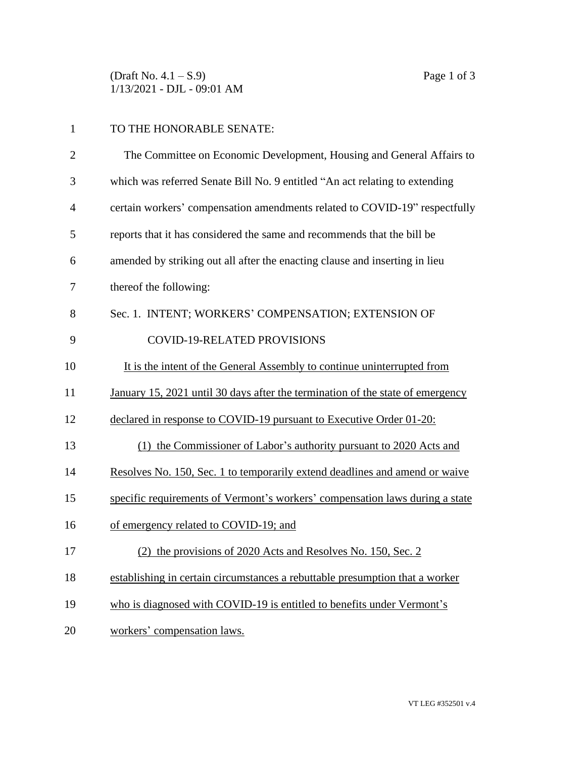(Draft No.  $4.1 - S.9$ ) Page 1 of 3 1/13/2021 - DJL - 09:01 AM

| TO THE HONORABLE SENATE:                                              |
|-----------------------------------------------------------------------|
| The Committee on Economic Development, Housing and General Affairs to |

| 3              | which was referred Senate Bill No. 9 entitled "An act relating to extending    |
|----------------|--------------------------------------------------------------------------------|
| $\overline{4}$ | certain workers' compensation amendments related to COVID-19" respectfully     |
| 5              | reports that it has considered the same and recommends that the bill be        |
| 6              | amended by striking out all after the enacting clause and inserting in lieu    |
| 7              | thereof the following:                                                         |
| 8              | Sec. 1. INTENT; WORKERS' COMPENSATION; EXTENSION OF                            |
| 9              | <b>COVID-19-RELATED PROVISIONS</b>                                             |
| 10             | It is the intent of the General Assembly to continue uninterrupted from        |
| 11             | January 15, 2021 until 30 days after the termination of the state of emergency |
| 12             | declared in response to COVID-19 pursuant to Executive Order 01-20:            |
| 13             | (1) the Commissioner of Labor's authority pursuant to 2020 Acts and            |
| 14             | Resolves No. 150, Sec. 1 to temporarily extend deadlines and amend or waive    |
| 15             | specific requirements of Vermont's workers' compensation laws during a state   |
| 16             | of emergency related to COVID-19; and                                          |
| 17             | (2) the provisions of 2020 Acts and Resolves No. 150, Sec. 2                   |
| 18             | establishing in certain circumstances a rebuttable presumption that a worker   |
| 19             | who is diagnosed with COVID-19 is entitled to benefits under Vermont's         |
| 20             | workers' compensation laws.                                                    |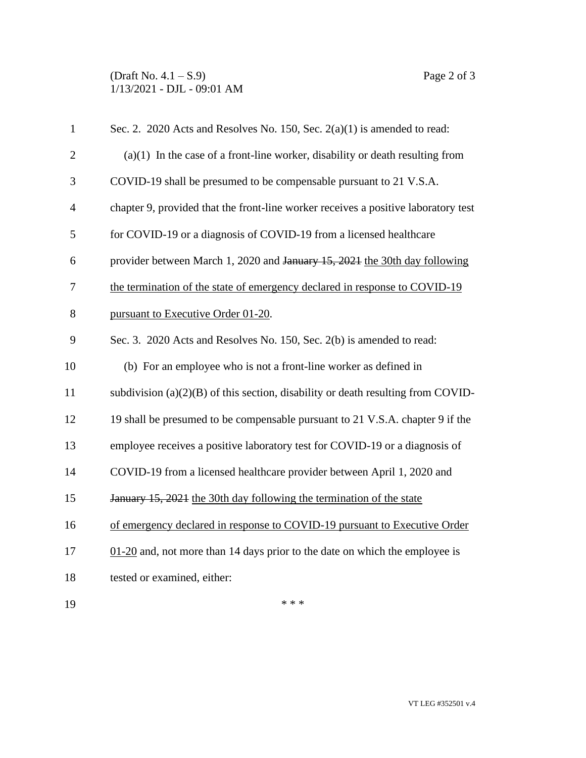## (Draft No.  $4.1 - S.9$ ) Page 2 of 3 1/13/2021 - DJL - 09:01 AM

| $\mathbf{1}$   | Sec. 2. 2020 Acts and Resolves No. 150, Sec. $2(a)(1)$ is amended to read:                |
|----------------|-------------------------------------------------------------------------------------------|
| $\overline{2}$ | $(a)(1)$ In the case of a front-line worker, disability or death resulting from           |
| 3              | COVID-19 shall be presumed to be compensable pursuant to 21 V.S.A.                        |
| $\overline{4}$ | chapter 9, provided that the front-line worker receives a positive laboratory test        |
| 5              | for COVID-19 or a diagnosis of COVID-19 from a licensed healthcare                        |
| 6              | provider between March 1, 2020 and January 15, 2021 the 30th day following                |
| 7              | the termination of the state of emergency declared in response to COVID-19                |
| 8              | pursuant to Executive Order 01-20.                                                        |
| 9              | Sec. 3. 2020 Acts and Resolves No. 150, Sec. 2(b) is amended to read:                     |
| 10             | (b) For an employee who is not a front-line worker as defined in                          |
| 11             | subdivision $(a)(2)(B)$ of this section, disability or death resulting from COVID-        |
| 12             | 19 shall be presumed to be compensable pursuant to 21 V.S.A. chapter 9 if the             |
| 13             | employee receives a positive laboratory test for COVID-19 or a diagnosis of               |
| 14             | COVID-19 from a licensed healthcare provider between April 1, 2020 and                    |
| 15             | January 15, 2021 the 30th day following the termination of the state                      |
| 16             | of emergency declared in response to COVID-19 pursuant to Executive Order                 |
| 17             | $\underline{01-20}$ and, not more than 14 days prior to the date on which the employee is |
| 18             | tested or examined, either:                                                               |
| 19             | * * *                                                                                     |